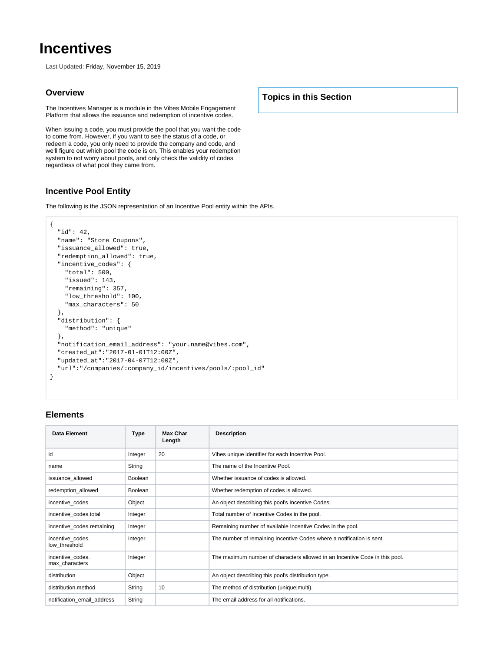# **Incentives**

Last Updated: Friday, November 15, 2019

#### **Overview**

The Incentives Manager is a module in the Vibes Mobile Engagement Platform that allows the issuance and redemption of incentive codes.

When issuing a code, you must provide the pool that you want the code to come from. However, if you want to see the status of a code, or redeem a code, you only need to provide the company and code, and we'll figure out which pool the code is on. This enables your redemption system to not worry about pools, and only check the validity of codes regardless of what pool they came from.

# **Incentive Pool Entity**

The following is the JSON representation of an Incentive Pool entity within the APIs.

```
{
  "id": 42,
  "name": "Store Coupons",
  "issuance_allowed": true,
  "redemption_allowed": true,
  "incentive_codes": {
    "total": 500,
    "issued": 143,
    "remaining": 357,
    "low_threshold": 100,
    "max_characters": 50
  },
  "distribution": {
    "method": "unique"
  },
  "notification_email_address": "your.name@vibes.com",
  "created_at":"2017-01-01T12:00Z",
  "updated_at":"2017-04-07T12:00Z",
   "url":"/companies/:company_id/incentives/pools/:pool_id"
}
```
# **Elements**

| Data Element                       | Type    | Max Char<br>Length | <b>Description</b>                                                          |
|------------------------------------|---------|--------------------|-----------------------------------------------------------------------------|
| id                                 | Integer | 20                 | Vibes unique identifier for each Incentive Pool.                            |
| name                               | String  |                    | The name of the Incentive Pool.                                             |
| issuance allowed                   | Boolean |                    | Whether issuance of codes is allowed.                                       |
| redemption_allowed                 | Boolean |                    | Whether redemption of codes is allowed.                                     |
| incentive codes                    | Object  |                    | An object describing this pool's Incentive Codes.                           |
| incentive codes.total              | Integer |                    | Total number of Incentive Codes in the pool.                                |
| incentive_codes.remaining          | Integer |                    | Remaining number of available Incentive Codes in the pool.                  |
| incentive codes.<br>low threshold  | Integer |                    | The number of remaining Incentive Codes where a notification is sent.       |
| incentive codes.<br>max characters | Integer |                    | The maximum number of characters allowed in an Incentive Code in this pool. |
| distribution                       | Object  |                    | An object describing this pool's distribution type.                         |
| distribution.method                | String  | 10                 | The method of distribution (unique multi).                                  |
| notification email address         | String  |                    | The email address for all notifications.                                    |

**Topics in this Section**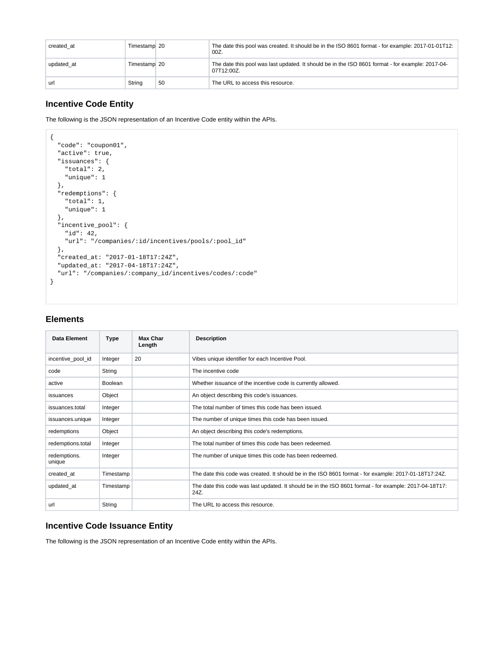| created at | Timestamp 20 |    | The date this pool was created. It should be in the ISO 8601 format - for example: 2017-01-01T12:<br>$00Z$ .   |
|------------|--------------|----|----------------------------------------------------------------------------------------------------------------|
| updated at | Timestamp 20 |    | The date this pool was last updated. It should be in the ISO 8601 format - for example: 2017-04-<br>07T12:00Z. |
| url        | String       | 50 | The URL to access this resource.                                                                               |

# **Incentive Code Entity**

The following is the JSON representation of an Incentive Code entity within the APIs.

```
{
   "code": "coupon01",
  "active": true,
  "issuances": {
    "total": 2,
    "unique": 1
  },
   "redemptions": {
    "total": 1,
    "unique": 1
  },
   "incentive_pool": {
    "id": 42,
    "url": "/companies/:id/incentives/pools/:pool_id"
  },
  "created_at: "2017-01-18T17:24Z",
  "updated_at: "2017-04-18T17:24Z",
   "url": "/companies/:company_id/incentives/codes/:code"
}
```
#### **Elements**

| <b>Data Element</b>    | <b>Type</b> | Max Char<br>Length | <b>Description</b>                                                                                             |
|------------------------|-------------|--------------------|----------------------------------------------------------------------------------------------------------------|
| incentive_pool_id      | Integer     | 20                 | Vibes unique identifier for each Incentive Pool.                                                               |
| code                   | String      |                    | The incentive code                                                                                             |
| active                 | Boolean     |                    | Whether issuance of the incentive code is currently allowed.                                                   |
| issuances              | Object      |                    | An object describing this code's issuances.                                                                    |
| issuances.total        | Integer     |                    | The total number of times this code has been issued.                                                           |
| issuances.unique       | Integer     |                    | The number of unique times this code has been issued.                                                          |
| redemptions            | Object      |                    | An object describing this code's redemptions.                                                                  |
| redemptions.total      | Integer     |                    | The total number of times this code has been redeemed.                                                         |
| redemptions.<br>unique | Integer     |                    | The number of unique times this code has been redeemed.                                                        |
| created at             | Timestamp   |                    | The date this code was created. It should be in the ISO 8601 format - for example: 2017-01-18T17:24Z.          |
| updated at             | Timestamp   |                    | The date this code was last updated. It should be in the ISO 8601 format - for example: 2017-04-18T17:<br>24Z. |
| url                    | String      |                    | The URL to access this resource.                                                                               |

#### **Incentive Code Issuance Entity**

The following is the JSON representation of an Incentive Code entity within the APIs.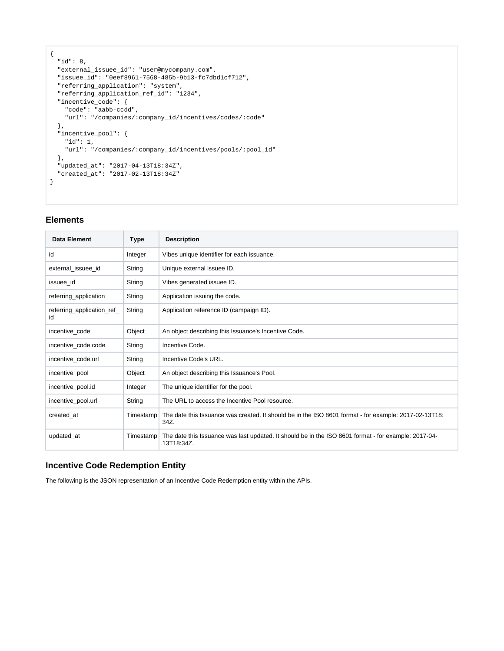```
{
  "id": 8,
  "external_issuee_id": "user@mycompany.com",
  "issuee_id": "0eef8961-7568-485b-9b13-fc7dbd1cf712",
  "referring_application": "system",
  "referring_application_ref_id": "1234",
  "incentive_code": {
    "code": "aabb-ccdd",
     "url": "/companies/:company_id/incentives/codes/:code"
   },
  "incentive_pool": {
    "id": 1,
    "url": "/companies/:company_id/incentives/pools/:pool_id"
  },
   "updated_at": "2017-04-13T18:34Z",
   "created_at": "2017-02-13T18:34Z"
}
```
# **Elements**

| Data Element                     | <b>Type</b> | <b>Description</b>                                                                                                 |
|----------------------------------|-------------|--------------------------------------------------------------------------------------------------------------------|
| id                               | Integer     | Vibes unique identifier for each issuance.                                                                         |
| external_issuee_id               | String      | Unique external issuee ID.                                                                                         |
| issuee id                        | String      | Vibes generated issuee ID.                                                                                         |
| referring_application            | String      | Application issuing the code.                                                                                      |
| referring_application_ref_<br>id | String      | Application reference ID (campaign ID).                                                                            |
| incentive code                   | Object      | An object describing this Issuance's Incentive Code.                                                               |
| incentive code.code              | String      | Incentive Code.                                                                                                    |
| incentive code.url               | String      | Incentive Code's URL.                                                                                              |
| incentive_pool                   | Object      | An object describing this Issuance's Pool.                                                                         |
| incentive_pool.id                | Integer     | The unique identifier for the pool.                                                                                |
| incentive_pool.url               | String      | The URL to access the Incentive Pool resource.                                                                     |
| created_at                       | Timestamp   | The date this Issuance was created. It should be in the ISO 8601 format - for example: 2017-02-13T18:<br>34Z.      |
| updated_at                       | Timestamp   | The date this Issuance was last updated. It should be in the ISO 8601 format - for example: 2017-04-<br>13T18:34Z. |

# **Incentive Code Redemption Entity**

The following is the JSON representation of an Incentive Code Redemption entity within the APIs.